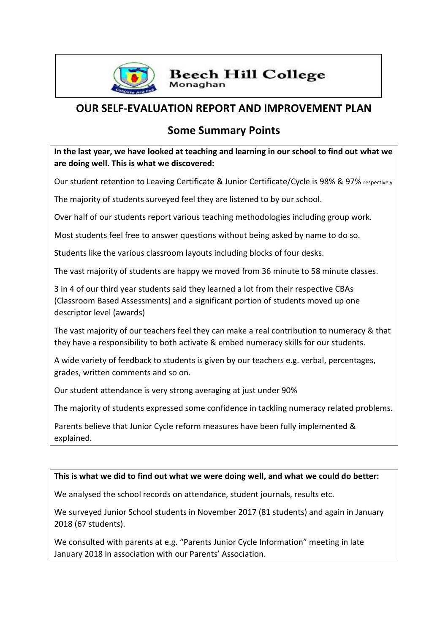

#### **Beech Hill College** Monaghan

# **OUR SELF-EVALUATION REPORT AND IMPROVEMENT PLAN**

## **Some Summary Points**

**In the last year, we have looked at teaching and learning in our school to find out what we are doing well. This is what we discovered:**

Our student retention to Leaving Certificate & Junior Certificate/Cycle is 98% & 97% respectively

The majority of students surveyed feel they are listened to by our school.

Over half of our students report various teaching methodologies including group work.

Most students feel free to answer questions without being asked by name to do so.

Students like the various classroom layouts including blocks of four desks.

The vast majority of students are happy we moved from 36 minute to 58 minute classes.

3 in 4 of our third year students said they learned a lot from their respective CBAs (Classroom Based Assessments) and a significant portion of students moved up one descriptor level (awards)

The vast majority of our teachers feel they can make a real contribution to numeracy & that they have a responsibility to both activate & embed numeracy skills for our students.

A wide variety of feedback to students is given by our teachers e.g. verbal, percentages, grades, written comments and so on.

Our student attendance is very strong averaging at just under 90%

The majority of students expressed some confidence in tackling numeracy related problems.

Parents believe that Junior Cycle reform measures have been fully implemented & explained.

#### **This is what we did to find out what we were doing well, and what we could do better:**

We analysed the school records on attendance, student journals, results etc.

We surveyed Junior School students in November 2017 (81 students) and again in January 2018 (67 students).

We consulted with parents at e.g. "Parents Junior Cycle Information" meeting in late January 2018 in association with our Parents' Association.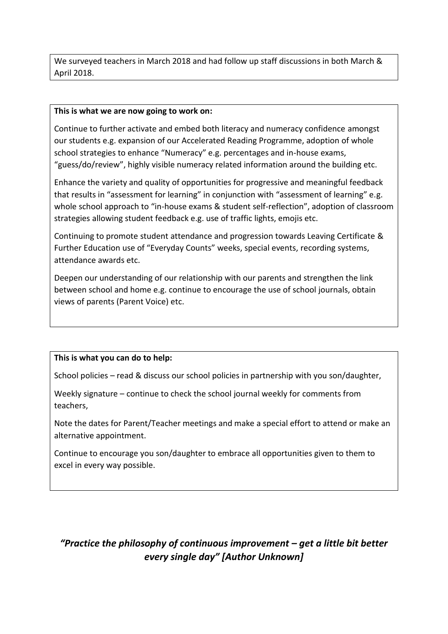We surveyed teachers in March 2018 and had follow up staff discussions in both March & April 2018.

#### **This is what we are now going to work on:**

Continue to further activate and embed both literacy and numeracy confidence amongst our students e.g. expansion of our Accelerated Reading Programme, adoption of whole school strategies to enhance "Numeracy" e.g. percentages and in-house exams, "guess/do/review", highly visible numeracy related information around the building etc.

Enhance the variety and quality of opportunities for progressive and meaningful feedback that results in "assessment for learning" in conjunction with "assessment of learning" e.g. whole school approach to "in-house exams & student self-reflection", adoption of classroom strategies allowing student feedback e.g. use of traffic lights, emojis etc.

Continuing to promote student attendance and progression towards Leaving Certificate & Further Education use of "Everyday Counts" weeks, special events, recording systems, attendance awards etc.

Deepen our understanding of our relationship with our parents and strengthen the link between school and home e.g. continue to encourage the use of school journals, obtain views of parents (Parent Voice) etc.

#### **This is what you can do to help:**

School policies – read & discuss our school policies in partnership with you son/daughter,

Weekly signature – continue to check the school journal weekly for comments from teachers,

Note the dates for Parent/Teacher meetings and make a special effort to attend or make an alternative appointment.

Continue to encourage you son/daughter to embrace all opportunities given to them to excel in every way possible.

## *"Practice the philosophy of continuous improvement – get a little bit better every single day" [Author Unknown]*